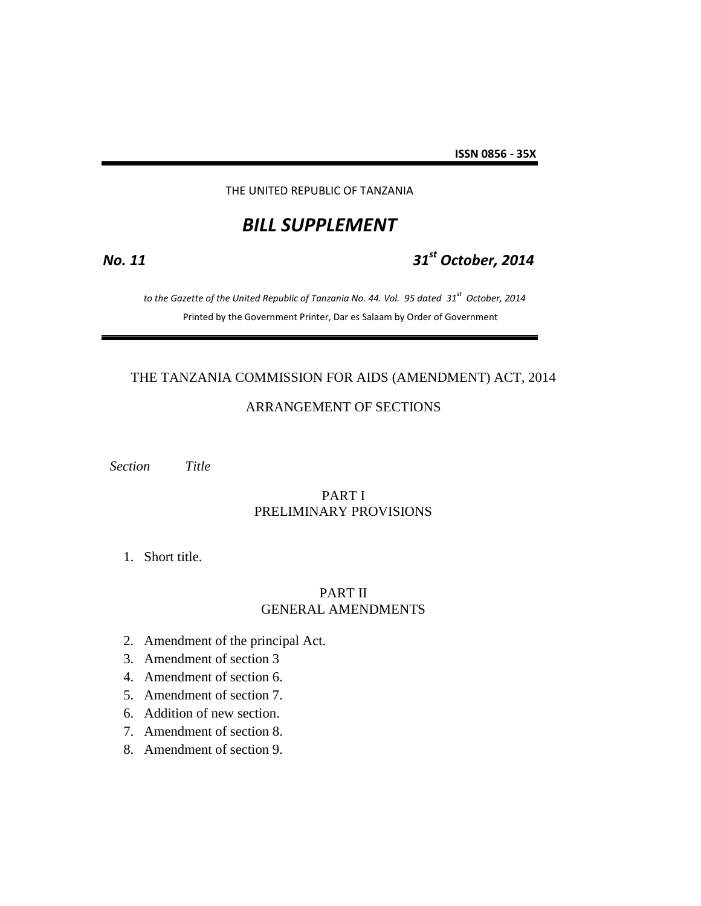#### THE UNITED REPUBLIC OF TANZANIA

# *BILL SUPPLEMENT*

# *No. 11 31st October, 2014*

 *to the Gazette of the United Republic of Tanzania No. 44. Vol. 95 dated 31st October, 2014* Printed by the Government Printer, Dar es Salaam by Order of Government

# THE TANZANIA COMMISSION FOR AIDS (AMENDMENT) ACT, 2014

# ARRANGEMENT OF SECTIONS

 *Section Title*

# PART I PRELIMINARY PROVISIONS

1. Short title.

# PART II GENERAL AMENDMENTS

- 2. Amendment of the principal Act.
- 3. Amendment of section 3
- 4. Amendment of section 6.
- 5. Amendment of section 7.
- 6. Addition of new section.
- 7. Amendment of section 8.
- 8. Amendment of section 9.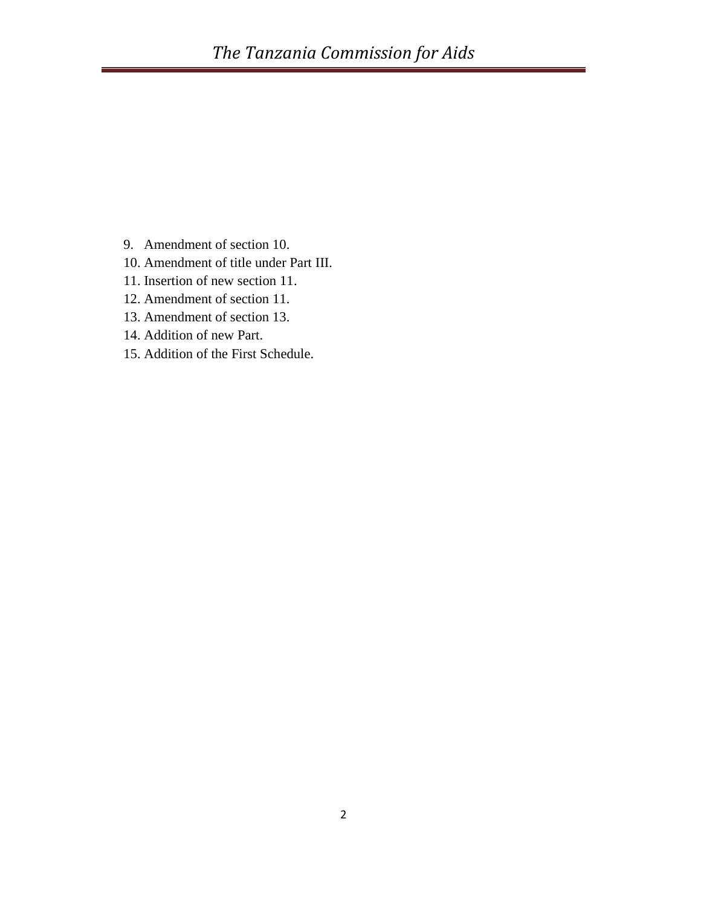- 9. Amendment of section 10.
- 10. Amendment of title under Part III.
- 11. Insertion of new section 11.
- 12. Amendment of section 11.
- 13. Amendment of section 13.
- 14. Addition of new Part.
- 15. Addition of the First Schedule.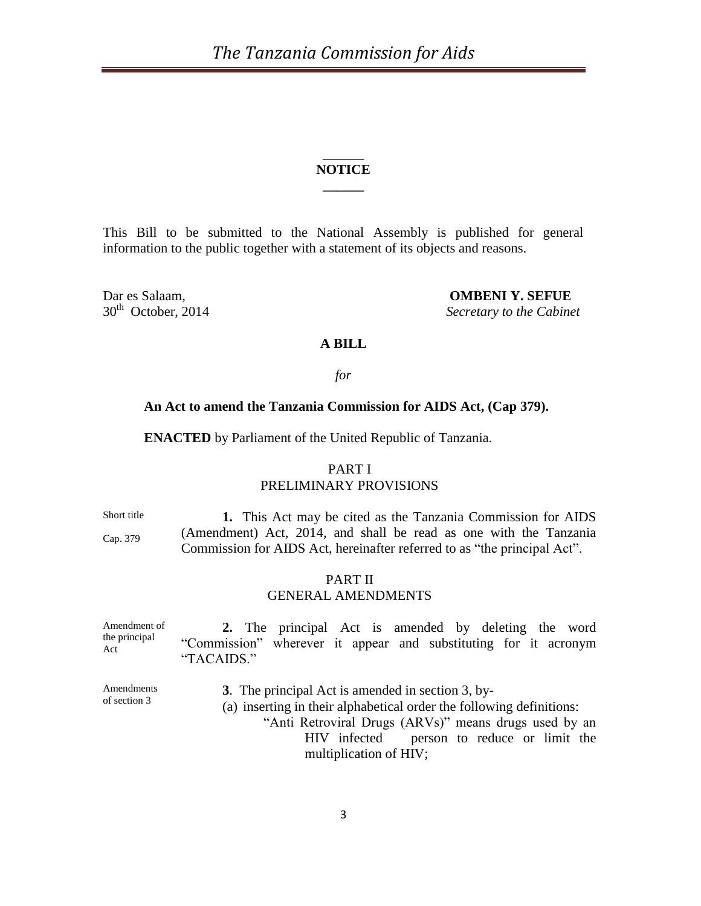# \_\_\_\_\_\_ **NOTICE \_\_\_\_\_\_**

This Bill to be submitted to the National Assembly is published for general information to the public together with a statement of its objects and reasons.

 $30<sup>th</sup>$  October, 2014

Dar es Salaam, **OMBENI Y. SEFUE Secretary to the Cabinet** 

# **A BILL**

### *for*

#### **An Act to amend the Tanzania Commission for AIDS Act, (Cap 379).**

**ENACTED** by Parliament of the United Republic of Tanzania.

# PART I PRELIMINARY PROVISIONS

Short title

Cap. 379

**1.** This Act may be cited as the Tanzania Commission for AIDS (Amendment) Act, 2014, and shall be read as one with the Tanzania Commission for AIDS Act, hereinafter referred to as "the principal Act".

# PART II

# GENERAL AMENDMENTS

| Amendment of<br>the principal<br>Act | 2. The principal Act is amended by deleting the word                          |
|--------------------------------------|-------------------------------------------------------------------------------|
|                                      | "Commission" wherever it appear and substituting for it acronym<br>"TACAIDS." |
| Amendments<br>of section 3           | 3. The principal Act is amended in section 3, by-<br>$\sqrt{2}$               |

(a) inserting in their alphabetical order the following definitions:

"Anti Retroviral Drugs (ARVs)" means drugs used by an HIV infected person to reduce or limit the multiplication of HIV;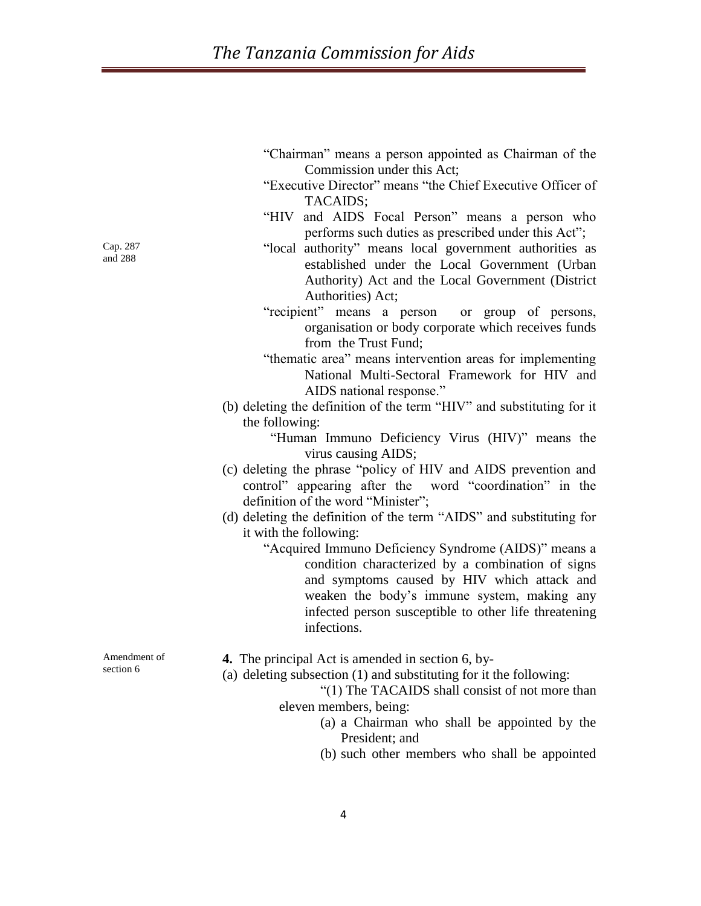| "Chairman" means a person appointed as Chairman of the |                            |  |  |  |  |
|--------------------------------------------------------|----------------------------|--|--|--|--|
|                                                        | Commission under this Act; |  |  |  |  |

- "Executive Director" means "the Chief Executive Officer of TACAIDS;
- "HIV and AIDS Focal Person" means a person who performs such duties as prescribed under this Act";
- "local authority" means local government authorities as established under the Local Government (Urban Authority) Act and the Local Government (District Authorities) Act;
- "recipient" means a person or group of persons, organisation or body corporate which receives funds from the Trust Fund;
- "thematic area" means intervention areas for implementing National Multi-Sectoral Framework for HIV and AIDS national response."
- (b) deleting the definition of the term "HIV" and substituting for it the following:

"Human Immuno Deficiency Virus (HIV)" means the virus causing AIDS;

- (c) deleting the phrase "policy of HIV and AIDS prevention and control" appearing after the word "coordination" in the definition of the word "Minister";
- (d) deleting the definition of the term "AIDS" and substituting for it with the following:
	- "Acquired Immuno Deficiency Syndrome (AIDS)" means a condition characterized by a combination of signs and symptoms caused by HIV which attack and weaken the body's immune system, making any infected person susceptible to other life threatening infections.

**4.** The principal Act is amended in section 6, by-

(a) deleting subsection (1) and substituting for it the following:

"(1) The TACAIDS shall consist of not more than eleven members, being:

- (a) a Chairman who shall be appointed by the President; and
- (b) such other members who shall be appointed

Cap. 287 and 288

Amendment of section 6

4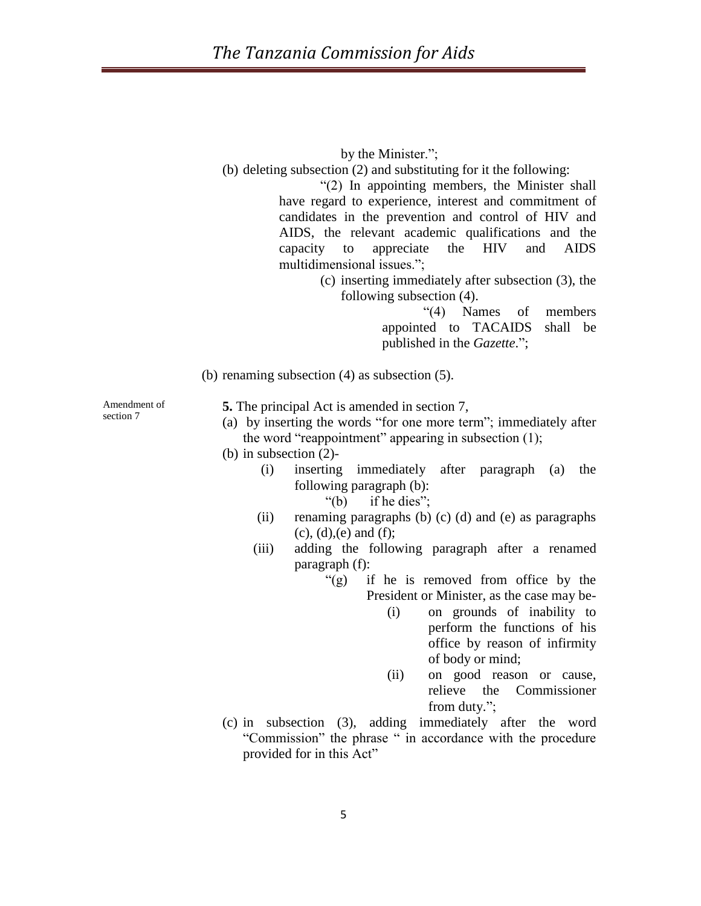by the Minister.";

(b) deleting subsection (2) and substituting for it the following:

"(2) In appointing members, the Minister shall have regard to experience, interest and commitment of candidates in the prevention and control of HIV and AIDS, the relevant academic qualifications and the capacity to appreciate the HIV and AIDS multidimensional issues.";

> (c) inserting immediately after subsection (3), the following subsection (4).

> > "(4) Names of members appointed to TACAIDS shall be published in the *Gazette*.";

(b) renaming subsection (4) as subsection (5).

Amendment of section 7

**5.** The principal Act is amended in section 7,

- (a) by inserting the words "for one more term"; immediately after the word "reappointment" appearing in subsection (1);
- (b) in subsection (2)-
	- (i) inserting immediately after paragraph (a) the following paragraph (b):
		- "(b) if he dies";
	- (ii) renaming paragraphs (b) (c) (d) and (e) as paragraphs  $(c)$ ,  $(d)$ , $(e)$  and  $(f)$ ;
	- (iii) adding the following paragraph after a renamed paragraph (f):
		- "(g) if he is removed from office by the President or Minister, as the case may be-
			- (i) on grounds of inability to perform the functions of his office by reason of infirmity of body or mind;
			- (ii) on good reason or cause, relieve the Commissioner from duty.";
- (c) in subsection (3), adding immediately after the word "Commission" the phrase " in accordance with the procedure provided for in this Act"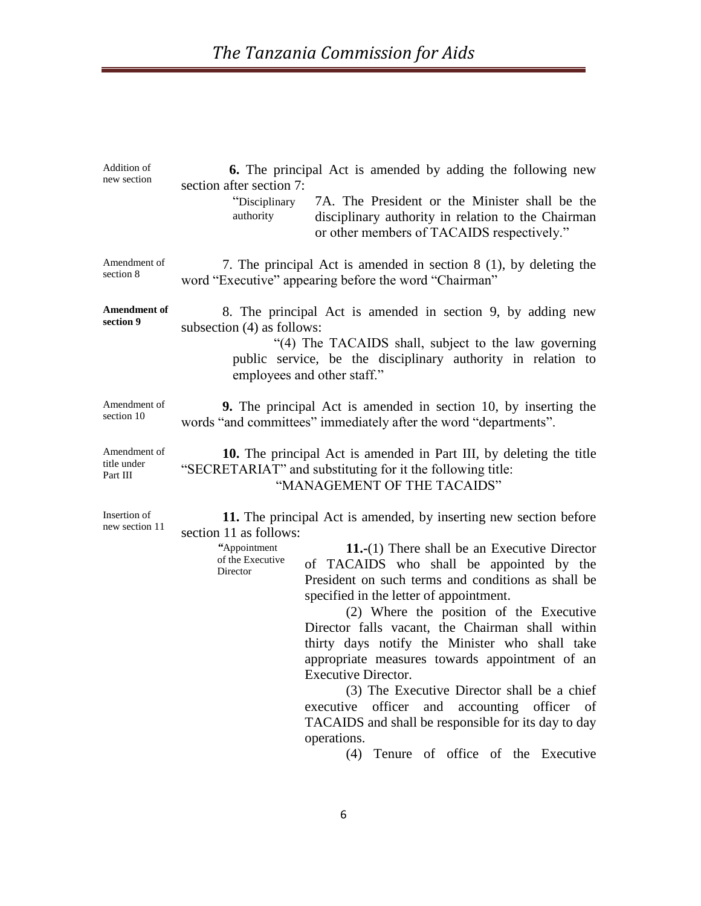| <b>6.</b> The principal Act is amended by adding the following new<br>section after section 7:                                                                                                                                                                                                                                                                                                                                                                                                                                                                                                                                                                                                                                                                                                             |  |  |  |  |  |
|------------------------------------------------------------------------------------------------------------------------------------------------------------------------------------------------------------------------------------------------------------------------------------------------------------------------------------------------------------------------------------------------------------------------------------------------------------------------------------------------------------------------------------------------------------------------------------------------------------------------------------------------------------------------------------------------------------------------------------------------------------------------------------------------------------|--|--|--|--|--|
| 7A. The President or the Minister shall be the<br>"Disciplinary<br>authority<br>disciplinary authority in relation to the Chairman<br>or other members of TACAIDS respectively."                                                                                                                                                                                                                                                                                                                                                                                                                                                                                                                                                                                                                           |  |  |  |  |  |
| 7. The principal Act is amended in section 8 (1), by deleting the<br>word "Executive" appearing before the word "Chairman"                                                                                                                                                                                                                                                                                                                                                                                                                                                                                                                                                                                                                                                                                 |  |  |  |  |  |
| 8. The principal Act is amended in section 9, by adding new<br>subsection (4) as follows:<br>"(4) The TACAIDS shall, subject to the law governing<br>public service, be the disciplinary authority in relation to<br>employees and other staff."                                                                                                                                                                                                                                                                                                                                                                                                                                                                                                                                                           |  |  |  |  |  |
| <b>9.</b> The principal Act is amended in section 10, by inserting the<br>words "and committees" immediately after the word "departments".                                                                                                                                                                                                                                                                                                                                                                                                                                                                                                                                                                                                                                                                 |  |  |  |  |  |
| 10. The principal Act is amended in Part III, by deleting the title<br>"SECRETARIAT" and substituting for it the following title:<br>"MANAGEMENT OF THE TACAIDS"                                                                                                                                                                                                                                                                                                                                                                                                                                                                                                                                                                                                                                           |  |  |  |  |  |
| 11. The principal Act is amended, by inserting new section before<br>section 11 as follows:<br>"Appointment<br><b>11.-</b> (1) There shall be an Executive Director<br>of the Executive<br>of TACAIDS who shall be appointed by the<br>Director<br>President on such terms and conditions as shall be<br>specified in the letter of appointment.<br>(2) Where the position of the Executive<br>Director falls vacant, the Chairman shall within<br>thirty days notify the Minister who shall take<br>appropriate measures towards appointment of an<br><b>Executive Director.</b><br>(3) The Executive Director shall be a chief<br>officer<br>and<br>accounting officer of<br>executive<br>TACAIDS and shall be responsible for its day to day<br>operations.<br>Tenure of office of the Executive<br>(4) |  |  |  |  |  |
|                                                                                                                                                                                                                                                                                                                                                                                                                                                                                                                                                                                                                                                                                                                                                                                                            |  |  |  |  |  |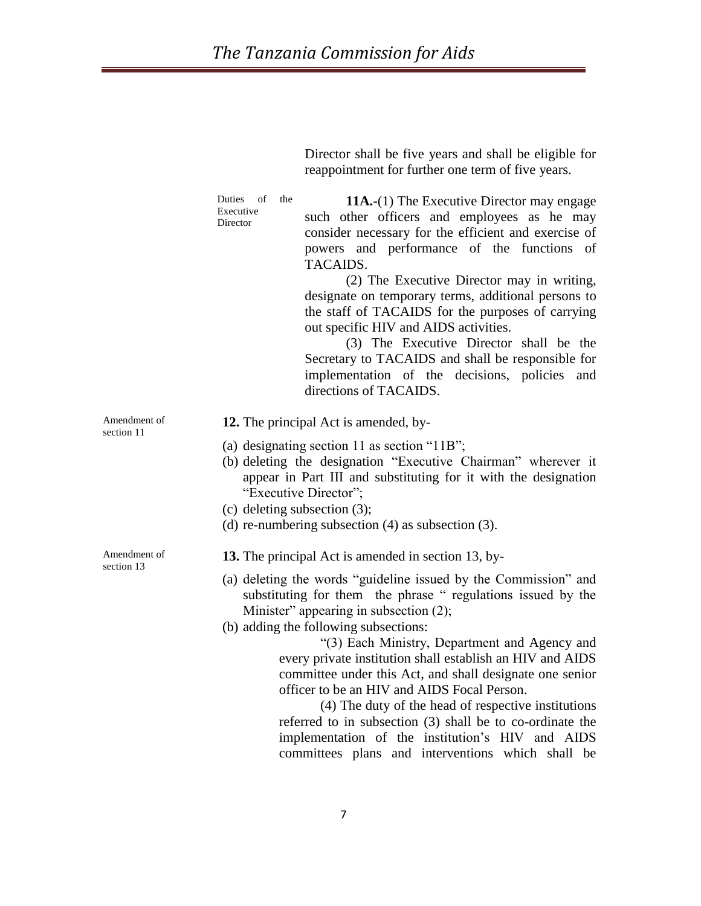Director shall be five years and shall be eligible for

|                            | reappointment for further one term of five years.                                                                                                                                                                                                                                                                                                                                                                                                                                                                                                                                                                                                                                                                              |  |  |  |  |  |
|----------------------------|--------------------------------------------------------------------------------------------------------------------------------------------------------------------------------------------------------------------------------------------------------------------------------------------------------------------------------------------------------------------------------------------------------------------------------------------------------------------------------------------------------------------------------------------------------------------------------------------------------------------------------------------------------------------------------------------------------------------------------|--|--|--|--|--|
|                            | Duties<br>of<br>the<br><b>11A.-(1)</b> The Executive Director may engage<br>Executive<br>such other officers and employees as he may<br>Director<br>consider necessary for the efficient and exercise of<br>powers and performance of the functions of<br>TACAIDS.<br>(2) The Executive Director may in writing,<br>designate on temporary terms, additional persons to<br>the staff of TACAIDS for the purposes of carrying<br>out specific HIV and AIDS activities.<br>(3) The Executive Director shall be the<br>Secretary to TACAIDS and shall be responsible for<br>implementation of the decisions, policies and<br>directions of TACAIDS.                                                                               |  |  |  |  |  |
| Amendment of<br>section 11 | 12. The principal Act is amended, by-<br>(a) designating section 11 as section " $11B$ ";<br>(b) deleting the designation "Executive Chairman" wherever it<br>appear in Part III and substituting for it with the designation<br>"Executive Director";<br>(c) deleting subsection $(3)$ ;<br>(d) re-numbering subsection $(4)$ as subsection $(3)$ .                                                                                                                                                                                                                                                                                                                                                                           |  |  |  |  |  |
| Amendment of<br>section 13 | 13. The principal Act is amended in section 13, by-<br>(a) deleting the words "guideline issued by the Commission" and<br>substituting for them the phrase "regulations issued by the<br>Minister" appearing in subsection (2);<br>(b) adding the following subsections:<br>"(3) Each Ministry, Department and Agency and<br>every private institution shall establish an HIV and AIDS<br>committee under this Act, and shall designate one senior<br>officer to be an HIV and AIDS Focal Person.<br>(4) The duty of the head of respective institutions<br>referred to in subsection (3) shall be to co-ordinate the<br>implementation of the institution's HIV and AIDS<br>committees plans and interventions which shall be |  |  |  |  |  |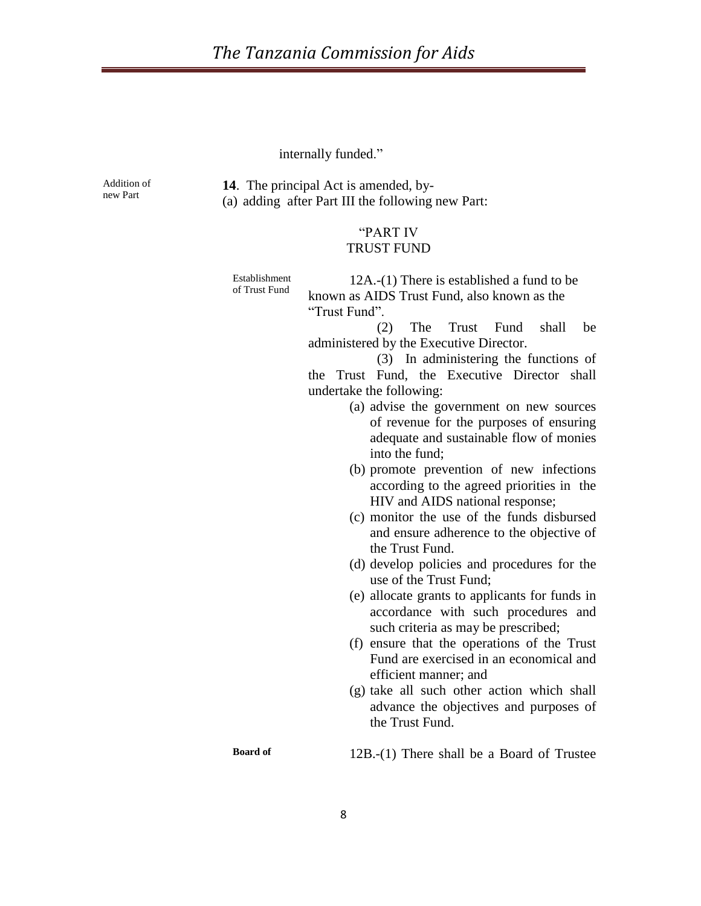internally funded."

Addition of new Part

**14**. The principal Act is amended, by- (a) adding after Part III the following new Part:

# "PART IV TRUST FUND

Establishment of Trust Fund

12A.-(1) There is established a fund to be known as AIDS Trust Fund, also known as the "Trust Fund".

 (2) The Trust Fund shall be administered by the Executive Director.

 (3) In administering the functions of the Trust Fund, the Executive Director shall undertake the following:

- (a) advise the government on new sources of revenue for the purposes of ensuring adequate and sustainable flow of monies into the fund;
- (b) promote prevention of new infections according to the agreed priorities in the HIV and AIDS national response;
- (c) monitor the use of the funds disbursed and ensure adherence to the objective of the Trust Fund.
- (d) develop policies and procedures for the use of the Trust Fund;
- (e) allocate grants to applicants for funds in accordance with such procedures and such criteria as may be prescribed;
- (f) ensure that the operations of the Trust Fund are exercised in an economical and efficient manner; and
- (g) take all such other action which shall advance the objectives and purposes of the Trust Fund.

**Board of** 12B.-(1) There shall be a Board of Trustee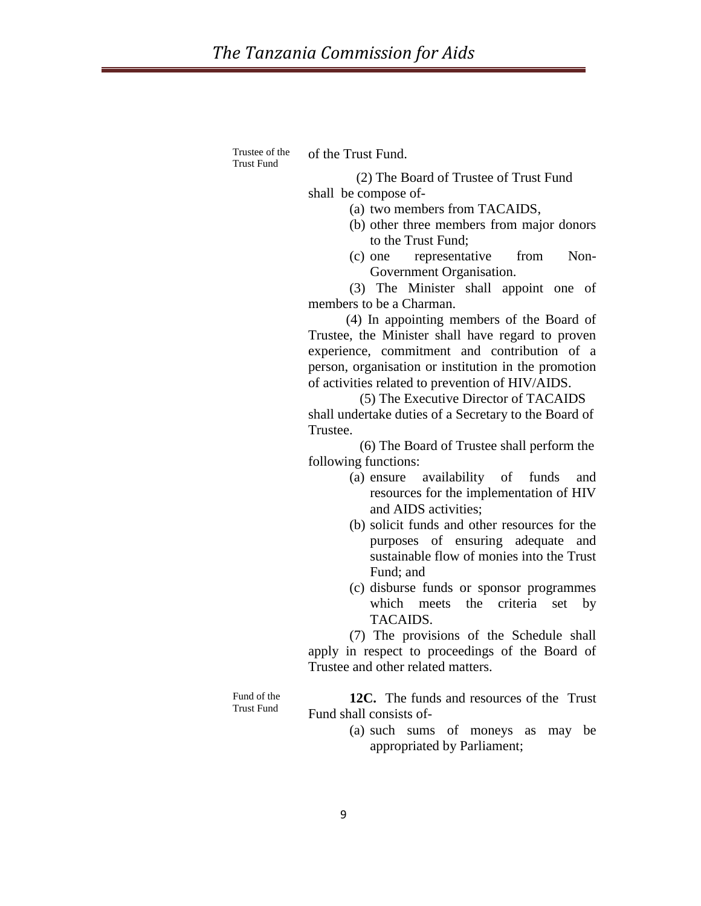Trustee of the Trust Fund

of the Trust Fund.

 (2) The Board of Trustee of Trust Fund shall be compose of-

(a) two members from TACAIDS,

- (b) other three members from major donors to the Trust Fund;
- (c) one representative from Non-Government Organisation.

(3) The Minister shall appoint one of members to be a Charman.

 (4) In appointing members of the Board of Trustee, the Minister shall have regard to proven experience, commitment and contribution of a person, organisation or institution in the promotion of activities related to prevention of HIV/AIDS.

 (5) The Executive Director of TACAIDS shall undertake duties of a Secretary to the Board of Trustee.

 (6) The Board of Trustee shall perform the following functions:

- (a) ensure availability of funds and resources for the implementation of HIV and AIDS activities;
- (b) solicit funds and other resources for the purposes of ensuring adequate and sustainable flow of monies into the Trust Fund; and
- (c) disburse funds or sponsor programmes which meets the criteria set by TACAIDS.

(7) The provisions of the Schedule shall apply in respect to proceedings of the Board of Trustee and other related matters.

Fund of the Trust Fund

 **12C.** The funds and resources of the Trust Fund shall consists of-

> (a) such sums of moneys as may be appropriated by Parliament;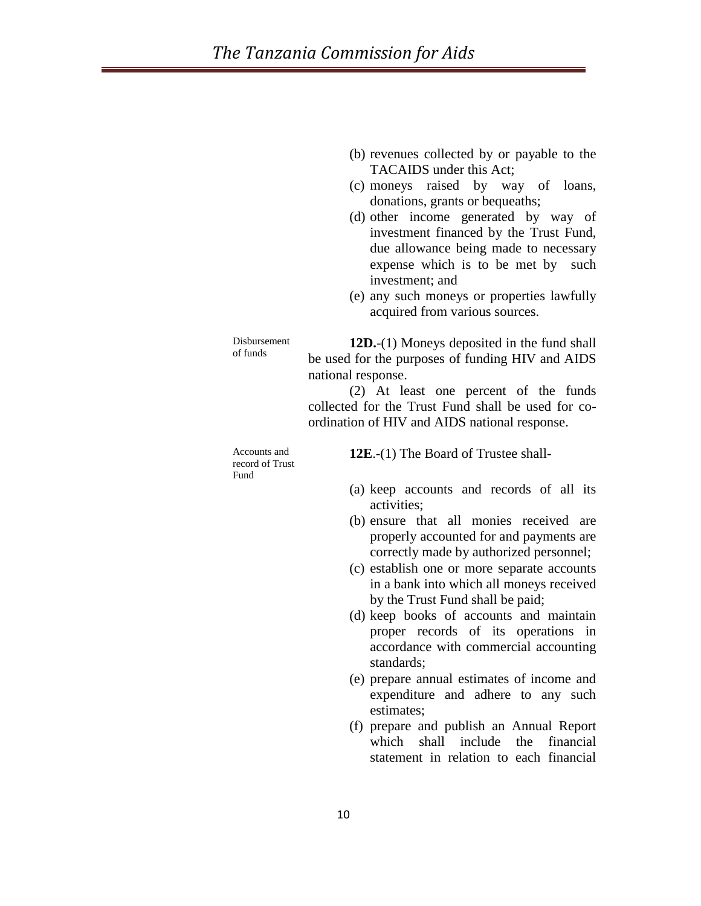- (b) revenues collected by or payable to the TACAIDS under this Act;
- (c) moneys raised by way of loans, donations, grants or bequeaths;
- (d) other income generated by way of investment financed by the Trust Fund, due allowance being made to necessary expense which is to be met by such investment; and
- (e) any such moneys or properties lawfully acquired from various sources.

Disbursement of funds

**12D.**-(1) Moneys deposited in the fund shall be used for the purposes of funding HIV and AIDS national response.

(2) At least one percent of the funds collected for the Trust Fund shall be used for coordination of HIV and AIDS national response.

Accounts and record of Trust Fund

**12E**.-(1) The Board of Trustee shall-

- (a) keep accounts and records of all its activities;
- (b) ensure that all monies received are properly accounted for and payments are correctly made by authorized personnel;
- (c) establish one or more separate accounts in a bank into which all moneys received by the Trust Fund shall be paid;
- (d) keep books of accounts and maintain proper records of its operations in accordance with commercial accounting standards;
- (e) prepare annual estimates of income and expenditure and adhere to any such estimates;
- (f) prepare and publish an Annual Report which shall include the financial statement in relation to each financial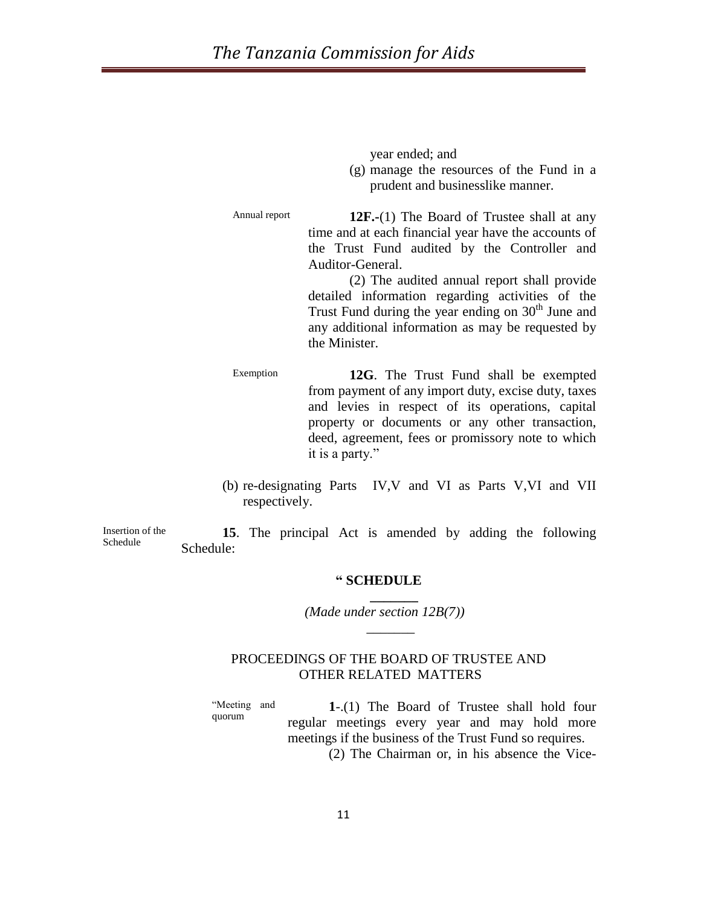year ended; and

(g) manage the resources of the Fund in a prudent and businesslike manner.

Annual report **12F.-**(1) The Board of Trustee shall at any time and at each financial year have the accounts of the Trust Fund audited by the Controller and Auditor-General.

> (2) The audited annual report shall provide detailed information regarding activities of the Trust Fund during the year ending on 30<sup>th</sup> June and any additional information as may be requested by the Minister.

Exemption **12G**. The Trust Fund shall be exempted from payment of any import duty, excise duty, taxes and levies in respect of its operations, capital property or documents or any other transaction, deed, agreement, fees or promissory note to which it is a party."

(b) re-designating Parts IV,V and VI as Parts V,VI and VII respectively.

Insertion of the Schedule

**15**. The principal Act is amended by adding the following Schedule:

#### **" SCHEDULE**

 **\_\_\_\_\_\_\_**

 $\mathcal{L}=\mathcal{L}$ 

*(Made under section 12B(7))*

# PROCEEDINGS OF THE BOARD OF TRUSTEE AND OTHER RELATED MATTERS

"Meeting and quorum

**1**-.(1) The Board of Trustee shall hold four regular meetings every year and may hold more meetings if the business of the Trust Fund so requires.

(2) The Chairman or, in his absence the Vice-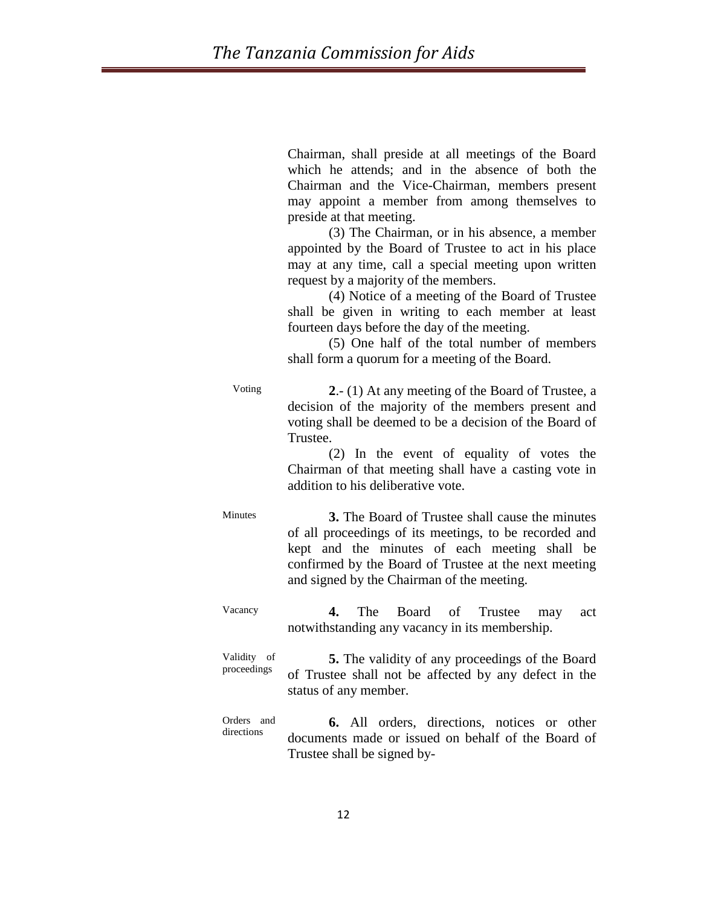Chairman, shall preside at all meetings of the Board which he attends; and in the absence of both the Chairman and the Vice-Chairman, members present may appoint a member from among themselves to preside at that meeting.

(3) The Chairman, or in his absence, a member appointed by the Board of Trustee to act in his place may at any time, call a special meeting upon written request by a majority of the members.

(4) Notice of a meeting of the Board of Trustee shall be given in writing to each member at least fourteen days before the day of the meeting.

(5) One half of the total number of members shall form a quorum for a meeting of the Board.

Voting **2**.- (1) At any meeting of the Board of Trustee, a decision of the majority of the members present and voting shall be deemed to be a decision of the Board of Trustee.

> (2) In the event of equality of votes the Chairman of that meeting shall have a casting vote in addition to his deliberative vote.

Minutes **3.** The Board of Trustee shall cause the minutes of all proceedings of its meetings, to be recorded and kept and the minutes of each meeting shall be confirmed by the Board of Trustee at the next meeting and signed by the Chairman of the meeting.

Vacancy **4.** The Board of Trustee may act notwithstanding any vacancy in its membership.

Validity of proceedings **5.** The validity of any proceedings of the Board of Trustee shall not be affected by any defect in the status of any member.

Orders and directions **6.** All orders, directions, notices or other documents made or issued on behalf of the Board of Trustee shall be signed by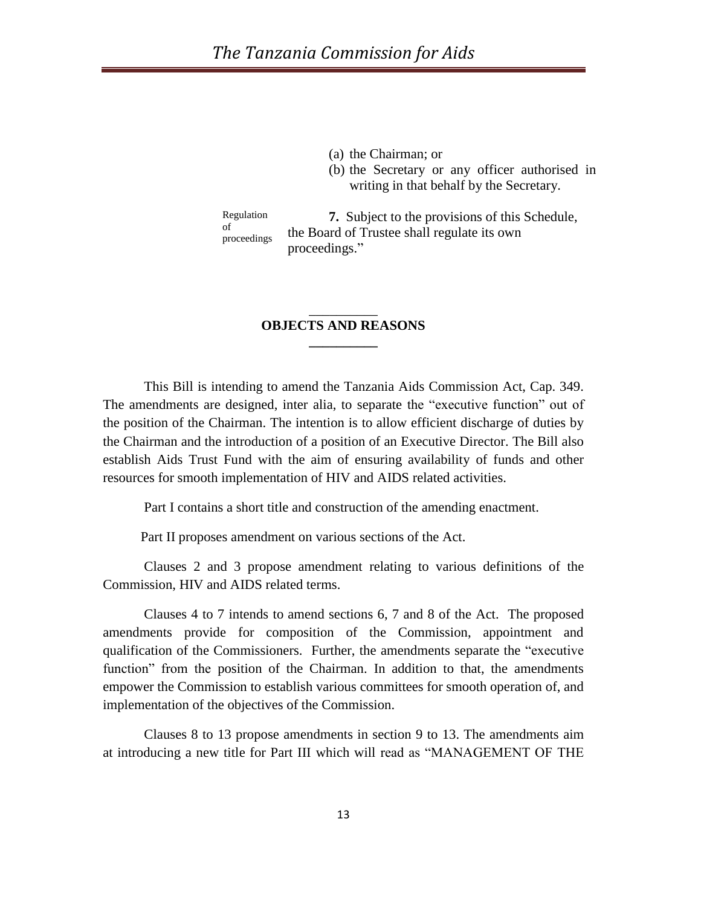(a) the Chairman; or

(b) the Secretary or any officer authorised in writing in that behalf by the Secretary.

Regulation of proceedings **7.** Subject to the provisions of this Schedule, the Board of Trustee shall regulate its own proceedings."

# \_\_\_\_\_\_\_\_\_\_ **OBJECTS AND REASONS \_\_\_\_\_\_\_\_\_\_**

This Bill is intending to amend the Tanzania Aids Commission Act, Cap. 349. The amendments are designed, inter alia, to separate the "executive function" out of the position of the Chairman. The intention is to allow efficient discharge of duties by the Chairman and the introduction of a position of an Executive Director. The Bill also establish Aids Trust Fund with the aim of ensuring availability of funds and other resources for smooth implementation of HIV and AIDS related activities.

Part I contains a short title and construction of the amending enactment.

Part II proposes amendment on various sections of the Act.

Clauses 2 and 3 propose amendment relating to various definitions of the Commission, HIV and AIDS related terms.

Clauses 4 to 7 intends to amend sections 6, 7 and 8 of the Act. The proposed amendments provide for composition of the Commission, appointment and qualification of the Commissioners. Further, the amendments separate the "executive function" from the position of the Chairman. In addition to that, the amendments empower the Commission to establish various committees for smooth operation of, and implementation of the objectives of the Commission.

Clauses 8 to 13 propose amendments in section 9 to 13. The amendments aim at introducing a new title for Part III which will read as "MANAGEMENT OF THE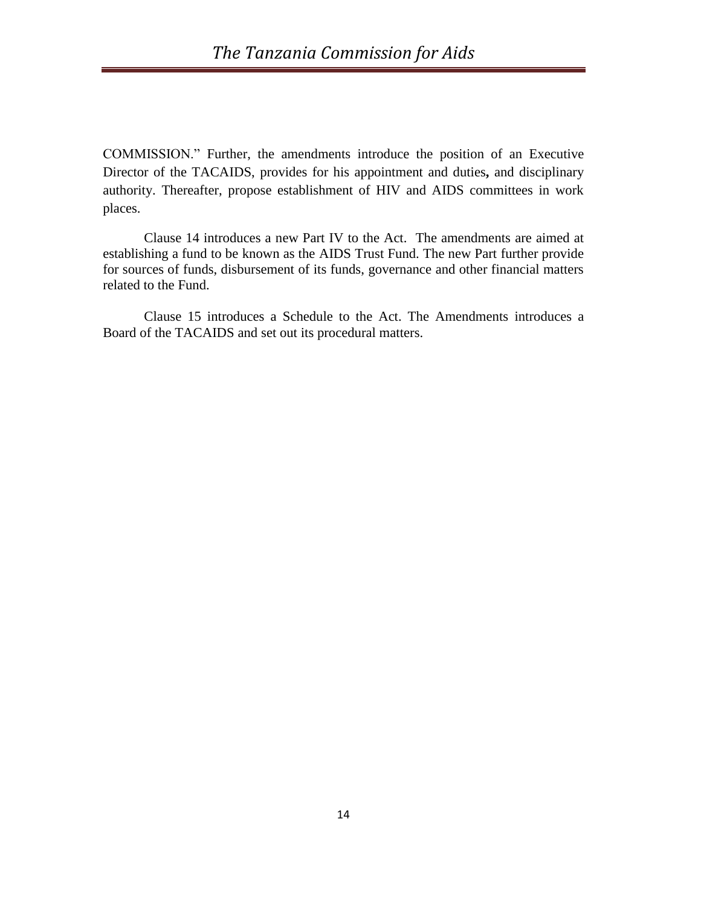COMMISSION." Further, the amendments introduce the position of an Executive Director of the TACAIDS, provides for his appointment and duties**,** and disciplinary authority. Thereafter, propose establishment of HIV and AIDS committees in work places.

 Clause 14 introduces a new Part IV to the Act. The amendments are aimed at establishing a fund to be known as the AIDS Trust Fund. The new Part further provide for sources of funds, disbursement of its funds, governance and other financial matters related to the Fund.

Clause 15 introduces a Schedule to the Act. The Amendments introduces a Board of the TACAIDS and set out its procedural matters.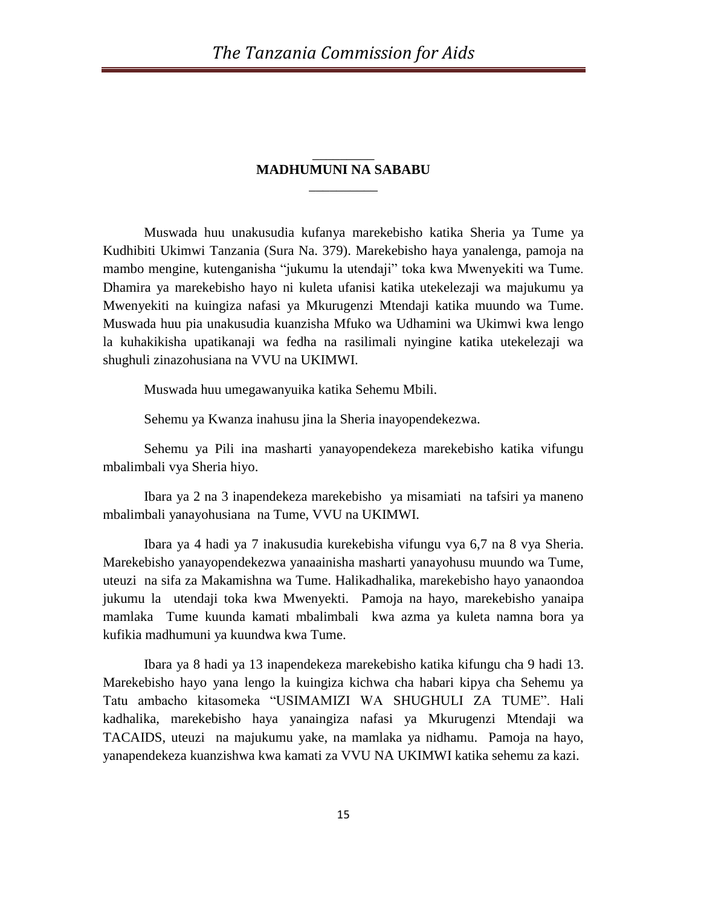# \_\_\_\_\_\_\_\_\_ **MADHUMUNI NA SABABU**  $\overline{\phantom{a}}$

Muswada huu unakusudia kufanya marekebisho katika Sheria ya Tume ya Kudhibiti Ukimwi Tanzania (Sura Na. 379). Marekebisho haya yanalenga, pamoja na mambo mengine, kutenganisha "jukumu la utendaji" toka kwa Mwenyekiti wa Tume. Dhamira ya marekebisho hayo ni kuleta ufanisi katika utekelezaji wa majukumu ya Mwenyekiti na kuingiza nafasi ya Mkurugenzi Mtendaji katika muundo wa Tume. Muswada huu pia unakusudia kuanzisha Mfuko wa Udhamini wa Ukimwi kwa lengo la kuhakikisha upatikanaji wa fedha na rasilimali nyingine katika utekelezaji wa shughuli zinazohusiana na VVU na UKIMWI.

Muswada huu umegawanyuika katika Sehemu Mbili.

Sehemu ya Kwanza inahusu jina la Sheria inayopendekezwa.

Sehemu ya Pili ina masharti yanayopendekeza marekebisho katika vifungu mbalimbali vya Sheria hiyo.

Ibara ya 2 na 3 inapendekeza marekebisho ya misamiati na tafsiri ya maneno mbalimbali yanayohusiana na Tume, VVU na UKIMWI.

Ibara ya 4 hadi ya 7 inakusudia kurekebisha vifungu vya 6,7 na 8 vya Sheria. Marekebisho yanayopendekezwa yanaainisha masharti yanayohusu muundo wa Tume, uteuzi na sifa za Makamishna wa Tume. Halikadhalika, marekebisho hayo yanaondoa jukumu la utendaji toka kwa Mwenyekti. Pamoja na hayo, marekebisho yanaipa mamlaka Tume kuunda kamati mbalimbali kwa azma ya kuleta namna bora ya kufikia madhumuni ya kuundwa kwa Tume.

Ibara ya 8 hadi ya 13 inapendekeza marekebisho katika kifungu cha 9 hadi 13. Marekebisho hayo yana lengo la kuingiza kichwa cha habari kipya cha Sehemu ya Tatu ambacho kitasomeka "USIMAMIZI WA SHUGHULI ZA TUME". Hali kadhalika, marekebisho haya yanaingiza nafasi ya Mkurugenzi Mtendaji wa TACAIDS, uteuzi na majukumu yake, na mamlaka ya nidhamu. Pamoja na hayo, yanapendekeza kuanzishwa kwa kamati za VVU NA UKIMWI katika sehemu za kazi.